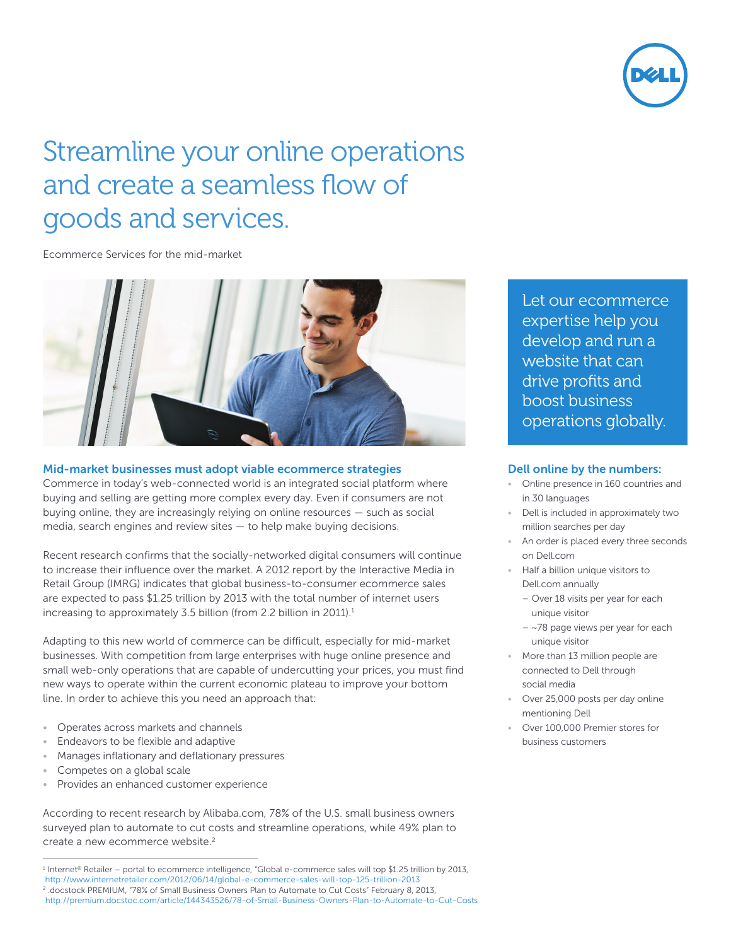

# Streamline your online operations and create a seamless flow of goods and services.

Ecommerce Services for the mid-market



## Mid-market businesses must adopt viable ecommerce strategies

Commerce in today's web-connected world is an integrated social platform where buying and selling are getting more complex every day. Even if consumers are not buying online, they are increasingly relying on online resources — such as social media, search engines and review sites — to help make buying decisions.

Recent research confirms that the socially-networked digital consumers will continue to increase their influence over the market. A 2012 report by the Interactive Media in Retail Group (IMRG) indicates that global business-to-consumer ecommerce sales are expected to pass \$1.25 trillion by 2013 with the total number of internet users increasing to approximately 3.5 billion (from 2.2 billion in 2011).<sup>1</sup>

Adapting to this new world of commerce can be difficult, especially for mid-market businesses. With competition from large enterprises with huge online presence and small web-only operations that are capable of undercutting your prices, you must find new ways to operate within the current economic plateau to improve your bottom line. In order to achieve this you need an approach that:

- Operates across markets and channels
- Endeavors to be flexible and adaptive
- Manages inflationary and deflationary pressures
- Competes on a global scale
- Provides an enhanced customer experience

According to recent research by Alibaba.com, 78% of the U.S. small business owners surveyed plan to automate to cut costs and streamline operations, while 49% plan to create a new ecommerce website.<sup>2</sup>

Let our ecommerce expertise help you develop and run a website that can drive profits and boost business operations globally.

## Dell online by the numbers:

- Online presence in 160 countries and in 30 languages
- Dell is included in approximately two million searches per day
- An order is placed every three seconds on Dell.com
- Half a billion unique visitors to Dell.com annually
	- Over 18 visits per year for each unique visitor
	- $-$  ~78 page views per year for each unique visitor
- More than 13 million people are connected to Dell through social media
- Over 25,000 posts per day online mentioning Dell
- Over 100,000 Premier stores for business customers

<sup>1</sup> Internet© Retailer – portal to ecommerce intelligence, "Global e-commerce sales will top \$1.25 trillion by 2013,

<http://www.internetretailer.com/2012/06/14/global-e-commerce-sales-will-top-125-trillion-2013>

<sup>2</sup> .docstock PREMIUM, "78% of Small Business Owners Plan to Automate to Cut Costs" February 8, 2013, <http://premium.docstoc.com/article/144343526/78-of-Small-Business-Owners-Plan-to-Automate-to-Cut-Costs>